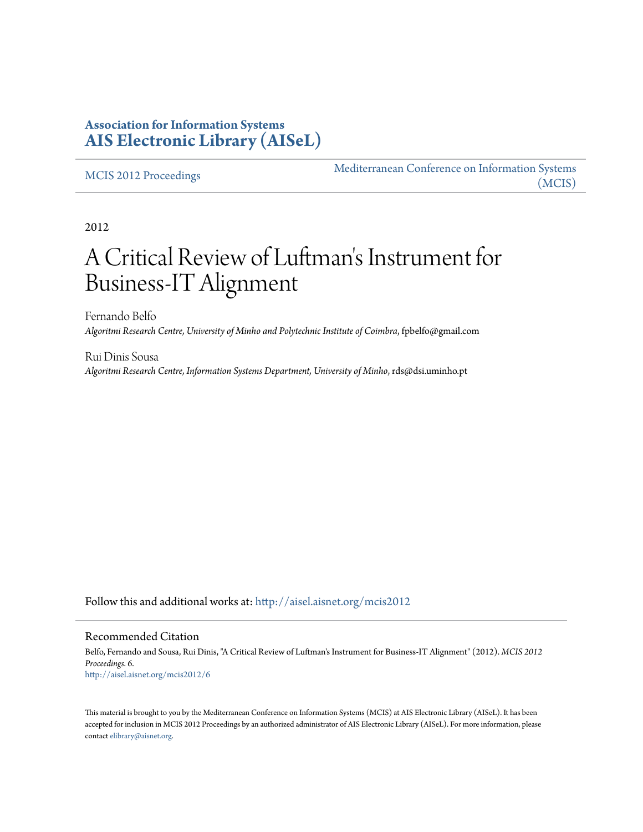# **Association for Information Systems [AIS Electronic Library \(AISeL\)](http://aisel.aisnet.org?utm_source=aisel.aisnet.org%2Fmcis2012%2F6&utm_medium=PDF&utm_campaign=PDFCoverPages)**

#### [MCIS 2012 Proceedings](http://aisel.aisnet.org/mcis2012?utm_source=aisel.aisnet.org%2Fmcis2012%2F6&utm_medium=PDF&utm_campaign=PDFCoverPages)

[Mediterranean Conference on Information Systems](http://aisel.aisnet.org/mcis?utm_source=aisel.aisnet.org%2Fmcis2012%2F6&utm_medium=PDF&utm_campaign=PDFCoverPages) [\(MCIS\)](http://aisel.aisnet.org/mcis?utm_source=aisel.aisnet.org%2Fmcis2012%2F6&utm_medium=PDF&utm_campaign=PDFCoverPages)

2012

# A Critical Review of Luftman 's Instrument for Business-IT Alignment

Fernando Belfo *Algoritmi Research Centre, University of Minho and Polytechnic Institute of Coimbra*, fpbelfo@gmail.com

Rui Dinis Sousa *Algoritmi Research Centre, Information Systems Department, University of Minho*, rds@dsi.uminho.pt

Follow this and additional works at: [http://aisel.aisnet.org/mcis2012](http://aisel.aisnet.org/mcis2012?utm_source=aisel.aisnet.org%2Fmcis2012%2F6&utm_medium=PDF&utm_campaign=PDFCoverPages)

#### Recommended Citation

Belfo, Fernando and Sousa, Rui Dinis, "A Critical Review of Luftman's Instrument for Business-IT Alignment" (2012). *MCIS 2012 Proceedings*. 6. [http://aisel.aisnet.org/mcis2012/6](http://aisel.aisnet.org/mcis2012/6?utm_source=aisel.aisnet.org%2Fmcis2012%2F6&utm_medium=PDF&utm_campaign=PDFCoverPages)

This material is brought to you by the Mediterranean Conference on Information Systems (MCIS) at AIS Electronic Library (AISeL). It has been accepted for inclusion in MCIS 2012 Proceedings by an authorized administrator of AIS Electronic Library (AISeL). For more information, please contact [elibrary@aisnet.org.](mailto:elibrary@aisnet.org%3E)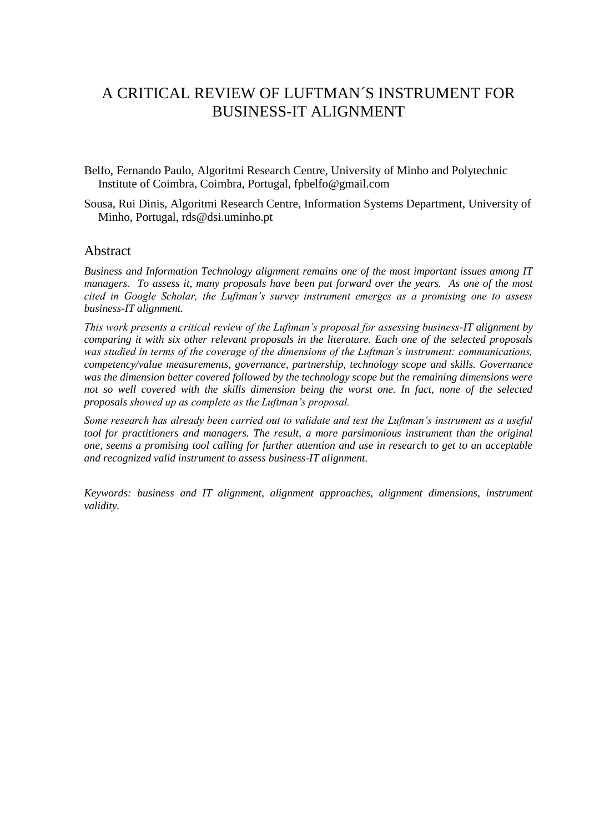# A CRITICAL REVIEW OF LUFTMAN´S INSTRUMENT FOR BUSINESS-IT ALIGNMENT

Belfo, Fernando Paulo, Algoritmi Research Centre, University of Minho and Polytechnic Institute of Coimbra, Coimbra, Portugal, fpbelfo@gmail.com

Sousa, Rui Dinis, Algoritmi Research Centre, Information Systems Department, University of Minho, Portugal, rds@dsi.uminho.pt

#### Abstract

*Business and Information Technology alignment remains one of the most important issues among IT managers. To assess it, many proposals have been put forward over the years. As one of the most cited in Google Scholar, the Luftman's survey instrument emerges as a promising one to assess business-IT alignment.*

*This work presents a critical review of the Luftman's proposal for assessing business-IT alignment by comparing it with six other relevant proposals in the literature. Each one of the selected proposals was studied in terms of the coverage of the dimensions of the Luftman's instrument: communications, competency/value measurements, governance, partnership, technology scope and skills. Governance was the dimension better covered followed by the technology scope but the remaining dimensions were not so well covered with the skills dimension being the worst one. In fact, none of the selected proposals showed up as complete as the Luftman's proposal.*

*Some research has already been carried out to validate and test the Luftman's instrument as a useful tool for practitioners and managers. The result, a more parsimonious instrument than the original one, seems a promising tool calling for further attention and use in research to get to an acceptable and recognized valid instrument to assess business-IT alignment.*

*Keywords: business and IT alignment, alignment approaches, alignment dimensions, instrument validity.*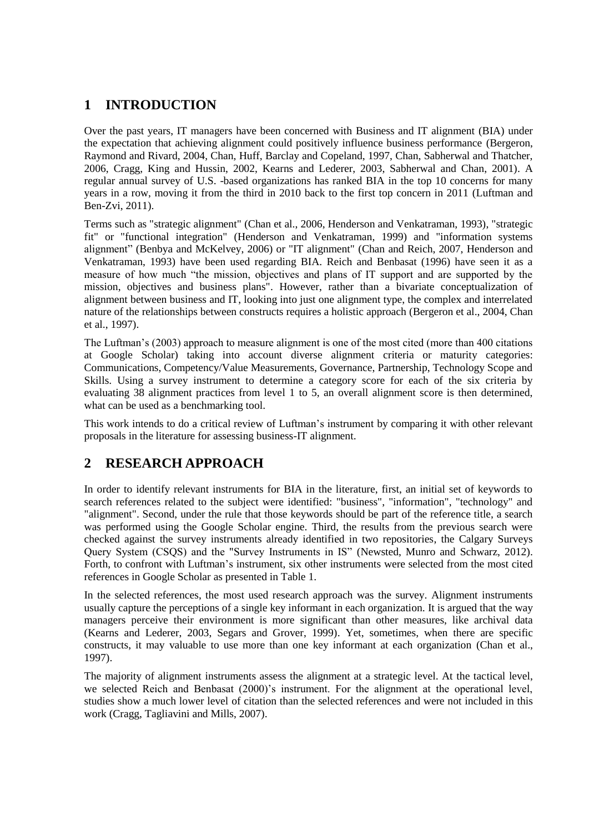# **1 INTRODUCTION**

Over the past years, IT managers have been concerned with Business and IT alignment (BIA) under the expectation that achieving alignment could positively influence business performance (Bergeron, Raymond and Rivard, 2004, Chan, Huff, Barclay and Copeland, 1997, Chan, Sabherwal and Thatcher, 2006, Cragg, King and Hussin, 2002, Kearns and Lederer, 2003, Sabherwal and Chan, 2001). A regular annual survey of U.S. -based organizations has ranked BIA in the top 10 concerns for many years in a row, moving it from the third in 2010 back to the first top concern in 2011 (Luftman and Ben-Zvi, 2011).

Terms such as "strategic alignment" (Chan et al., 2006, Henderson and Venkatraman, 1993), "strategic fit" or "functional integration" (Henderson and Venkatraman, 1999) and "information systems alignment" (Benbya and McKelvey, 2006) or "IT alignment" (Chan and Reich, 2007, Henderson and Venkatraman, 1993) have been used regarding BIA. Reich and Benbasat (1996) have seen it as a measure of how much "the mission, objectives and plans of IT support and are supported by the mission, objectives and business plans". However, rather than a bivariate conceptualization of alignment between business and IT, looking into just one alignment type, the complex and interrelated nature of the relationships between constructs requires a holistic approach (Bergeron et al., 2004, Chan et al., 1997).

The Luftman's (2003) approach to measure alignment is one of the most cited (more than 400 citations at Google Scholar) taking into account diverse alignment criteria or maturity categories: Communications, Competency/Value Measurements, Governance, Partnership, Technology Scope and Skills. Using a survey instrument to determine a category score for each of the six criteria by evaluating 38 alignment practices from level 1 to 5, an overall alignment score is then determined, what can be used as a benchmarking tool.

This work intends to do a critical review of Luftman's instrument by comparing it with other relevant proposals in the literature for assessing business-IT alignment.

# **2 RESEARCH APPROACH**

In order to identify relevant instruments for BIA in the literature, first, an initial set of keywords to search references related to the subject were identified: "business", "information", "technology" and "alignment". Second, under the rule that those keywords should be part of the reference title, a search was performed using the Google Scholar engine. Third, the results from the previous search were checked against the survey instruments already identified in two repositories, the Calgary Surveys Query System (CSQS) and the "Survey Instruments in IS" (Newsted, Munro and Schwarz, 2012). Forth, to confront with Luftman's instrument, six other instruments were selected from the most cited references in Google Scholar as presented in Table 1.

In the selected references, the most used research approach was the survey. Alignment instruments usually capture the perceptions of a single key informant in each organization. It is argued that the way managers perceive their environment is more significant than other measures, like archival data (Kearns and Lederer, 2003, Segars and Grover, 1999). Yet, sometimes, when there are specific constructs, it may valuable to use more than one key informant at each organization (Chan et al., 1997).

The majority of alignment instruments assess the alignment at a strategic level. At the tactical level, we selected Reich and Benbasat (2000)'s instrument. For the alignment at the operational level, studies show a much lower level of citation than the selected references and were not included in this work (Cragg, Tagliavini and Mills, 2007).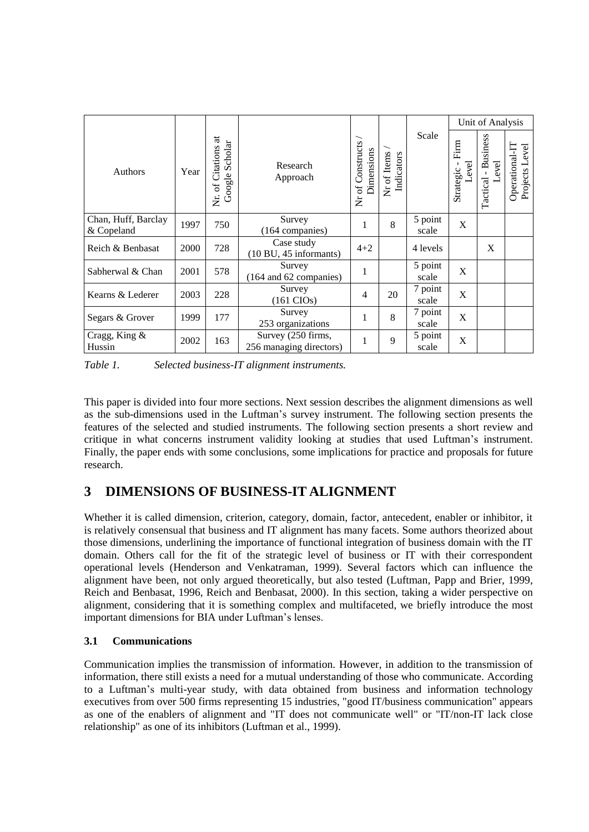|                                   |      |                                          |                                                        |                                |                           |                  | Unit of Analysis           |                                     |                                  |
|-----------------------------------|------|------------------------------------------|--------------------------------------------------------|--------------------------------|---------------------------|------------------|----------------------------|-------------------------------------|----------------------------------|
| Authors                           | Year | Nr. of Citations at<br>Scholar<br>Google | Research<br>Approach                                   | Nr of Constructs<br>Dimensions | Nr of Items<br>Indicators | Scale            | Firm<br>Level<br>Strategic | <b>Business</b><br>evel<br>Tactical | Operational-IT<br>Projects Level |
| Chan, Huff, Barclay<br>& Copeland | 1997 | 750                                      | Survey<br>(164 companies)                              |                                | 8                         | 5 point<br>scale | X                          |                                     |                                  |
| Reich & Benbasat                  | 2000 | 728                                      | Case study<br>$(10 \text{ BU}, 45 \text{ informants})$ | $4 + 2$                        |                           | 4 levels         |                            | X                                   |                                  |
| Sabherwal & Chan                  | 2001 | 578                                      | Survey<br>(164 and 62 companies)                       | 1                              |                           | 5 point<br>scale | X                          |                                     |                                  |
| Kearns & Lederer                  | 2003 | 228                                      | Survey<br>$(161 \text{ CIOs})$                         | 4                              | 20                        | 7 point<br>scale | X                          |                                     |                                  |
| Segars & Grover                   | 1999 | 177                                      | Survey<br>253 organizations                            | 1                              | 8                         | 7 point<br>scale | X                          |                                     |                                  |
| Cragg, King &<br>Hussin           | 2002 | 163                                      | Survey (250 firms,<br>256 managing directors)          |                                | 9                         | 5 point<br>scale | X                          |                                     |                                  |

*Table 1. Selected business-IT alignment instruments.*

This paper is divided into four more sections. Next session describes the alignment dimensions as well as the sub-dimensions used in the Luftman's survey instrument. The following section presents the features of the selected and studied instruments. The following section presents a short review and critique in what concerns instrument validity looking at studies that used Luftman's instrument. Finally, the paper ends with some conclusions, some implications for practice and proposals for future research.

# **3 DIMENSIONS OF BUSINESS-IT ALIGNMENT**

Whether it is called dimension, criterion, category, domain, factor, antecedent, enabler or inhibitor, it is relatively consensual that business and IT alignment has many facets. Some authors theorized about those dimensions, underlining the importance of functional integration of business domain with the IT domain. Others call for the fit of the strategic level of business or IT with their correspondent operational levels (Henderson and Venkatraman, 1999). Several factors which can influence the alignment have been, not only argued theoretically, but also tested (Luftman, Papp and Brier, 1999, Reich and Benbasat, 1996, Reich and Benbasat, 2000). In this section, taking a wider perspective on alignment, considering that it is something complex and multifaceted, we briefly introduce the most important dimensions for BIA under Luftman's lenses.

## **3.1 Communications**

Communication implies the transmission of information. However, in addition to the transmission of information, there still exists a need for a mutual understanding of those who communicate. According to a Luftman's multi-year study, with data obtained from business and information technology executives from over 500 firms representing 15 industries, "good IT/business communication" appears as one of the enablers of alignment and "IT does not communicate well" or "IT/non-IT lack close relationship" as one of its inhibitors (Luftman et al., 1999).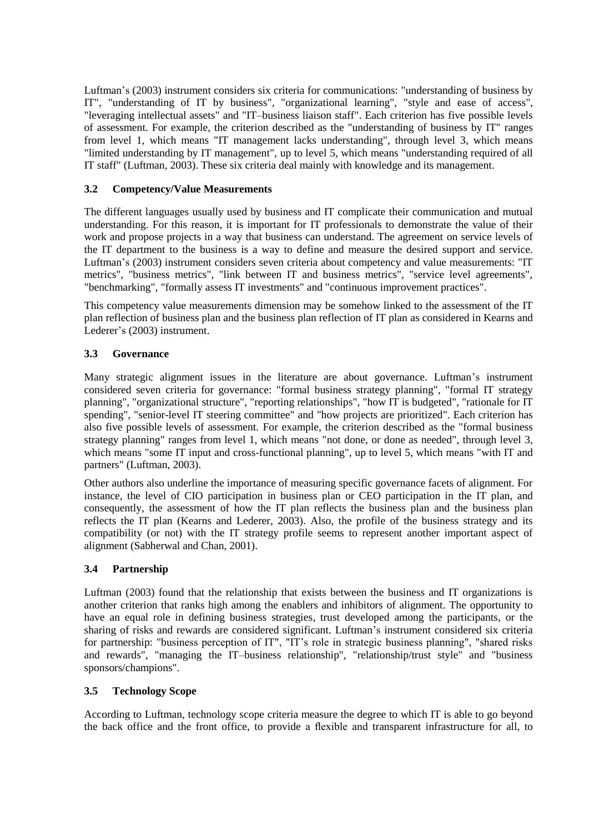Luftman's (2003) instrument considers six criteria for communications: "understanding of business by IT", "understanding of IT by business", "organizational learning", "style and ease of access", "leveraging intellectual assets" and "IT–business liaison staff". Each criterion has five possible levels of assessment. For example, the criterion described as the "understanding of business by IT" ranges from level 1, which means "IT management lacks understanding", through level 3, which means "limited understanding by IT management", up to level 5, which means "understanding required of all IT staff" (Luftman, 2003). These six criteria deal mainly with knowledge and its management.

#### **3.2 Competency/Value Measurements**

The different languages usually used by business and IT complicate their communication and mutual understanding. For this reason, it is important for IT professionals to demonstrate the value of their work and propose projects in a way that business can understand. The agreement on service levels of the IT department to the business is a way to define and measure the desired support and service. Luftman's (2003) instrument considers seven criteria about competency and value measurements: "IT metrics", "business metrics", "link between IT and business metrics", "service level agreements", "benchmarking", "formally assess IT investments" and "continuous improvement practices".

This competency value measurements dimension may be somehow linked to the assessment of the IT plan reflection of business plan and the business plan reflection of IT plan as considered in Kearns and Lederer's (2003) instrument.

## **3.3 Governance**

Many strategic alignment issues in the literature are about governance. Luftman's instrument considered seven criteria for governance: "formal business strategy planning", "formal IT strategy planning", "organizational structure", "reporting relationships", "how IT is budgeted", "rationale for IT spending", "senior-level IT steering committee" and "how projects are prioritized". Each criterion has also five possible levels of assessment. For example, the criterion described as the "formal business strategy planning" ranges from level 1, which means "not done, or done as needed", through level 3, which means "some IT input and cross-functional planning", up to level 5, which means "with IT and partners" (Luftman, 2003).

Other authors also underline the importance of measuring specific governance facets of alignment. For instance, the level of CIO participation in business plan or CEO participation in the IT plan, and consequently, the assessment of how the IT plan reflects the business plan and the business plan reflects the IT plan (Kearns and Lederer, 2003). Also, the profile of the business strategy and its compatibility (or not) with the IT strategy profile seems to represent another important aspect of alignment (Sabherwal and Chan, 2001).

## **3.4 Partnership**

Luftman (2003) found that the relationship that exists between the business and IT organizations is another criterion that ranks high among the enablers and inhibitors of alignment. The opportunity to have an equal role in defining business strategies, trust developed among the participants, or the sharing of risks and rewards are considered significant. Luftman's instrument considered six criteria for partnership: "business perception of IT", "IT's role in strategic business planning", "shared risks and rewards", "managing the IT–business relationship", "relationship/trust style" and "business sponsors/champions".

## **3.5 Technology Scope**

According to Luftman, technology scope criteria measure the degree to which IT is able to go beyond the back office and the front office, to provide a flexible and transparent infrastructure for all, to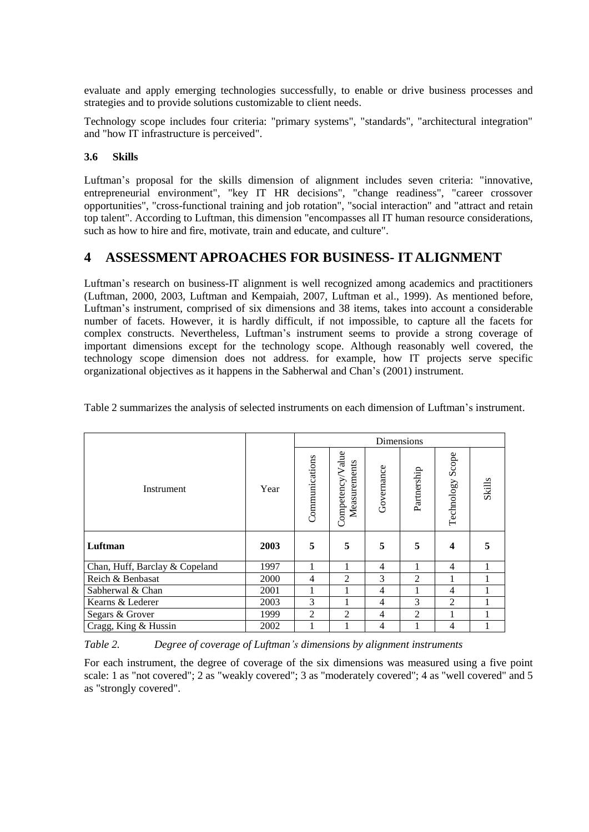evaluate and apply emerging technologies successfully, to enable or drive business processes and strategies and to provide solutions customizable to client needs.

Technology scope includes four criteria: "primary systems", "standards", "architectural integration" and "how IT infrastructure is perceived".

#### **3.6 Skills**

Luftman's proposal for the skills dimension of alignment includes seven criteria: "innovative, entrepreneurial environment", "key IT HR decisions", "change readiness", "career crossover opportunities", "cross-functional training and job rotation", "social interaction" and "attract and retain top talent". According to Luftman, this dimension "encompasses all IT human resource considerations, such as how to hire and fire, motivate, train and educate, and culture".

## **4 ASSESSMENT APROACHES FOR BUSINESS- IT ALIGNMENT**

Luftman's research on business-IT alignment is well recognized among academics and practitioners (Luftman, 2000, 2003, Luftman and Kempaiah, 2007, Luftman et al., 1999). As mentioned before, Luftman's instrument, comprised of six dimensions and 38 items, takes into account a considerable number of facets. However, it is hardly difficult, if not impossible, to capture all the facets for complex constructs. Nevertheless, Luftman's instrument seems to provide a strong coverage of important dimensions except for the technology scope. Although reasonably well covered, the technology scope dimension does not address. for example, how IT projects serve specific organizational objectives as it happens in the Sabherwal and Chan's (2001) instrument.

|                                |      | Dimensions     |                                  |                |                |                     |               |  |  |
|--------------------------------|------|----------------|----------------------------------|----------------|----------------|---------------------|---------------|--|--|
| Instrument                     | Year | Communications | Competency/Value<br>Measurements | Governance     | Partnership    | Scope<br>Technology | <b>Skills</b> |  |  |
| Luftman                        | 2003 | 5              | 5                                | 5              | 5              | 4                   | 5             |  |  |
| Chan, Huff, Barclay & Copeland | 1997 | 1              | $\mathbf{1}$                     | $\overline{4}$ | 1              | 4                   | 1             |  |  |
| Reich & Benbasat               | 2000 | 4              | $\overline{2}$                   | 3              | $\overline{2}$ | 1                   |               |  |  |
| Sabherwal & Chan               | 2001 | 1              |                                  | $\overline{4}$ |                | 4                   |               |  |  |
| Kearns & Lederer               | 2003 | 3              |                                  | $\overline{4}$ | 3              | $\overline{2}$      |               |  |  |
| Segars & Grover                | 1999 | $\overline{2}$ | 2                                | 4              | 2              | 1                   |               |  |  |
| Cragg, King & Hussin           | 2002 |                |                                  | 4              |                | 4                   |               |  |  |

Table 2 summarizes the analysis of selected instruments on each dimension of Luftman's instrument.

*Table 2. Degree of coverage of Luftman's dimensions by alignment instruments*

For each instrument, the degree of coverage of the six dimensions was measured using a five point scale: 1 as "not covered"; 2 as "weakly covered"; 3 as "moderately covered"; 4 as "well covered" and 5 as "strongly covered".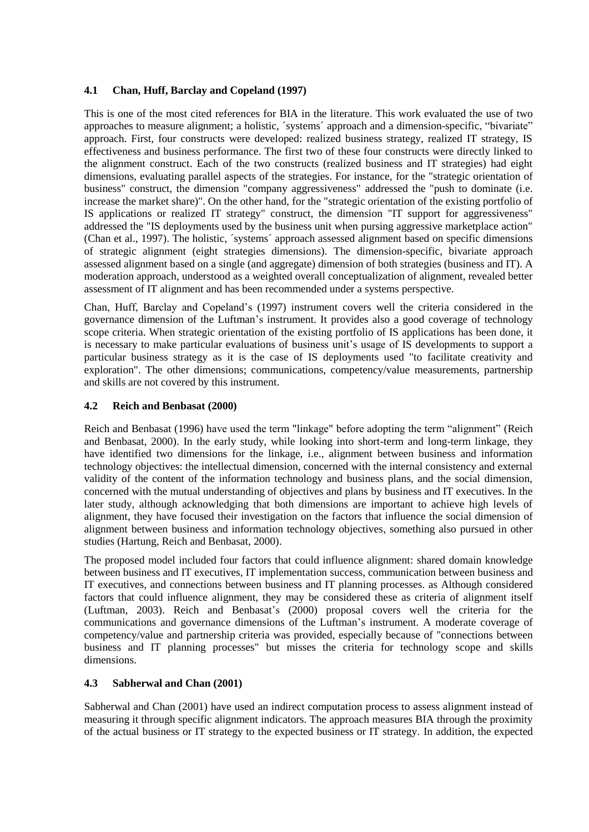#### **4.1 Chan, Huff, Barclay and Copeland (1997)**

This is one of the most cited references for BIA in the literature. This work evaluated the use of two approaches to measure alignment; a holistic, ´systems´ approach and a dimension-specific, "bivariate" approach. First, four constructs were developed: realized business strategy, realized IT strategy, IS effectiveness and business performance. The first two of these four constructs were directly linked to the alignment construct. Each of the two constructs (realized business and IT strategies) had eight dimensions, evaluating parallel aspects of the strategies. For instance, for the "strategic orientation of business" construct, the dimension "company aggressiveness" addressed the "push to dominate (i.e. increase the market share)". On the other hand, for the "strategic orientation of the existing portfolio of IS applications or realized IT strategy" construct, the dimension "IT support for aggressiveness" addressed the "IS deployments used by the business unit when pursing aggressive marketplace action" (Chan et al., 1997). The holistic, ´systems´ approach assessed alignment based on specific dimensions of strategic alignment (eight strategies dimensions). The dimension-specific, bivariate approach assessed alignment based on a single (and aggregate) dimension of both strategies (business and IT). A moderation approach, understood as a weighted overall conceptualization of alignment, revealed better assessment of IT alignment and has been recommended under a systems perspective.

Chan, Huff, Barclay and Copeland's (1997) instrument covers well the criteria considered in the governance dimension of the Luftman's instrument. It provides also a good coverage of technology scope criteria. When strategic orientation of the existing portfolio of IS applications has been done, it is necessary to make particular evaluations of business unit's usage of IS developments to support a particular business strategy as it is the case of IS deployments used "to facilitate creativity and exploration". The other dimensions; communications, competency/value measurements, partnership and skills are not covered by this instrument.

## **4.2 Reich and Benbasat (2000)**

Reich and Benbasat (1996) have used the term "linkage" before adopting the term "alignment" (Reich and Benbasat, 2000). In the early study, while looking into short-term and long-term linkage, they have identified two dimensions for the linkage, i.e., alignment between business and information technology objectives: the intellectual dimension, concerned with the internal consistency and external validity of the content of the information technology and business plans, and the social dimension, concerned with the mutual understanding of objectives and plans by business and IT executives. In the later study, although acknowledging that both dimensions are important to achieve high levels of alignment, they have focused their investigation on the factors that influence the social dimension of alignment between business and information technology objectives, something also pursued in other studies (Hartung, Reich and Benbasat, 2000).

The proposed model included four factors that could influence alignment: shared domain knowledge between business and IT executives, IT implementation success, communication between business and IT executives, and connections between business and IT planning processes. as Although considered factors that could influence alignment, they may be considered these as criteria of alignment itself (Luftman, 2003). Reich and Benbasat's (2000) proposal covers well the criteria for the communications and governance dimensions of the Luftman's instrument. A moderate coverage of competency/value and partnership criteria was provided, especially because of "connections between business and IT planning processes" but misses the criteria for technology scope and skills dimensions.

#### **4.3 Sabherwal and Chan (2001)**

Sabherwal and Chan (2001) have used an indirect computation process to assess alignment instead of measuring it through specific alignment indicators. The approach measures BIA through the proximity of the actual business or IT strategy to the expected business or IT strategy. In addition, the expected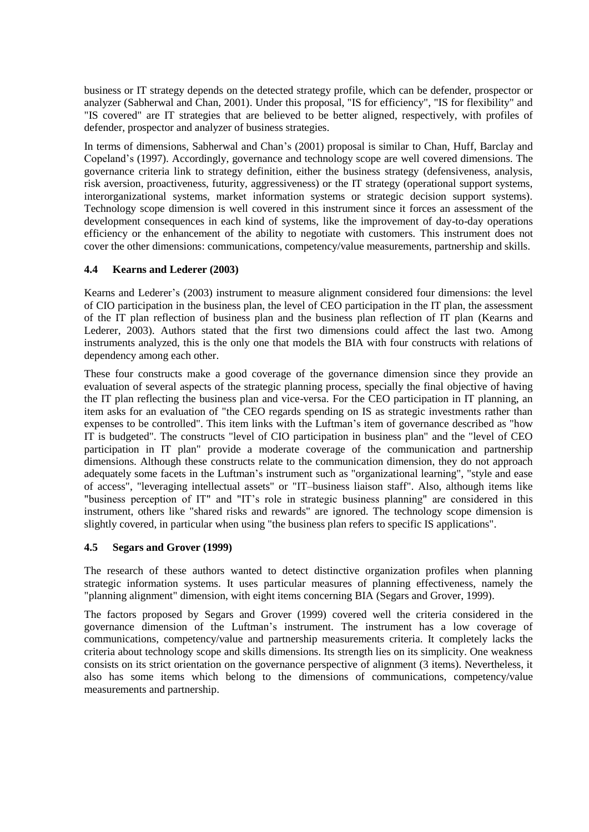business or IT strategy depends on the detected strategy profile, which can be defender, prospector or analyzer (Sabherwal and Chan, 2001). Under this proposal, "IS for efficiency", "IS for flexibility" and "IS covered" are IT strategies that are believed to be better aligned, respectively, with profiles of defender, prospector and analyzer of business strategies.

In terms of dimensions, Sabherwal and Chan's (2001) proposal is similar to Chan, Huff, Barclay and Copeland's (1997). Accordingly, governance and technology scope are well covered dimensions. The governance criteria link to strategy definition, either the business strategy (defensiveness, analysis, risk aversion, proactiveness, futurity, aggressiveness) or the IT strategy (operational support systems, interorganizational systems, market information systems or strategic decision support systems). Technology scope dimension is well covered in this instrument since it forces an assessment of the development consequences in each kind of systems, like the improvement of day-to-day operations efficiency or the enhancement of the ability to negotiate with customers. This instrument does not cover the other dimensions: communications, competency/value measurements, partnership and skills.

## **4.4 Kearns and Lederer (2003)**

Kearns and Lederer's (2003) instrument to measure alignment considered four dimensions: the level of CIO participation in the business plan, the level of CEO participation in the IT plan, the assessment of the IT plan reflection of business plan and the business plan reflection of IT plan (Kearns and Lederer, 2003). Authors stated that the first two dimensions could affect the last two. Among instruments analyzed, this is the only one that models the BIA with four constructs with relations of dependency among each other.

These four constructs make a good coverage of the governance dimension since they provide an evaluation of several aspects of the strategic planning process, specially the final objective of having the IT plan reflecting the business plan and vice-versa. For the CEO participation in IT planning, an item asks for an evaluation of "the CEO regards spending on IS as strategic investments rather than expenses to be controlled". This item links with the Luftman's item of governance described as "how IT is budgeted". The constructs "level of CIO participation in business plan" and the "level of CEO participation in IT plan" provide a moderate coverage of the communication and partnership dimensions. Although these constructs relate to the communication dimension, they do not approach adequately some facets in the Luftman's instrument such as "organizational learning", "style and ease of access", "leveraging intellectual assets" or "IT–business liaison staff". Also, although items like "business perception of IT" and "IT's role in strategic business planning" are considered in this instrument, others like "shared risks and rewards" are ignored. The technology scope dimension is slightly covered, in particular when using "the business plan refers to specific IS applications".

#### **4.5 Segars and Grover (1999)**

The research of these authors wanted to detect distinctive organization profiles when planning strategic information systems. It uses particular measures of planning effectiveness, namely the "planning alignment" dimension, with eight items concerning BIA (Segars and Grover, 1999).

The factors proposed by Segars and Grover (1999) covered well the criteria considered in the governance dimension of the Luftman's instrument. The instrument has a low coverage of communications, competency/value and partnership measurements criteria. It completely lacks the criteria about technology scope and skills dimensions. Its strength lies on its simplicity. One weakness consists on its strict orientation on the governance perspective of alignment (3 items). Nevertheless, it also has some items which belong to the dimensions of communications, competency/value measurements and partnership.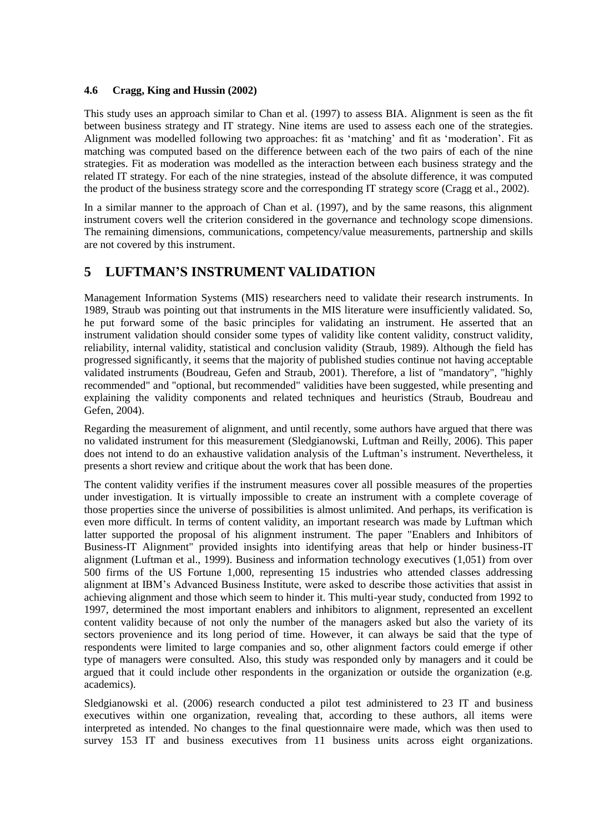#### **4.6 Cragg, King and Hussin (2002)**

This study uses an approach similar to Chan et al. (1997) to assess BIA. Alignment is seen as the fit between business strategy and IT strategy. Nine items are used to assess each one of the strategies. Alignment was modelled following two approaches: fit as 'matching' and fit as 'moderation'. Fit as matching was computed based on the difference between each of the two pairs of each of the nine strategies. Fit as moderation was modelled as the interaction between each business strategy and the related IT strategy. For each of the nine strategies, instead of the absolute difference, it was computed the product of the business strategy score and the corresponding IT strategy score (Cragg et al., 2002).

In a similar manner to the approach of Chan et al. (1997), and by the same reasons, this alignment instrument covers well the criterion considered in the governance and technology scope dimensions. The remaining dimensions, communications, competency/value measurements, partnership and skills are not covered by this instrument.

# **5 LUFTMAN'S INSTRUMENT VALIDATION**

Management Information Systems (MIS) researchers need to validate their research instruments. In 1989, Straub was pointing out that instruments in the MIS literature were insufficiently validated. So, he put forward some of the basic principles for validating an instrument. He asserted that an instrument validation should consider some types of validity like content validity, construct validity, reliability, internal validity, statistical and conclusion validity (Straub, 1989). Although the field has progressed significantly, it seems that the majority of published studies continue not having acceptable validated instruments (Boudreau, Gefen and Straub, 2001). Therefore, a list of "mandatory", "highly recommended" and "optional, but recommended" validities have been suggested, while presenting and explaining the validity components and related techniques and heuristics (Straub, Boudreau and Gefen, 2004).

Regarding the measurement of alignment, and until recently, some authors have argued that there was no validated instrument for this measurement (Sledgianowski, Luftman and Reilly, 2006). This paper does not intend to do an exhaustive validation analysis of the Luftman's instrument. Nevertheless, it presents a short review and critique about the work that has been done.

The content validity verifies if the instrument measures cover all possible measures of the properties under investigation. It is virtually impossible to create an instrument with a complete coverage of those properties since the universe of possibilities is almost unlimited. And perhaps, its verification is even more difficult. In terms of content validity, an important research was made by Luftman which latter supported the proposal of his alignment instrument. The paper "Enablers and Inhibitors of Business-IT Alignment" provided insights into identifying areas that help or hinder business-IT alignment (Luftman et al., 1999). Business and information technology executives (1,051) from over 500 firms of the US Fortune 1,000, representing 15 industries who attended classes addressing alignment at IBM's Advanced Business Institute, were asked to describe those activities that assist in achieving alignment and those which seem to hinder it. This multi-year study, conducted from 1992 to 1997, determined the most important enablers and inhibitors to alignment, represented an excellent content validity because of not only the number of the managers asked but also the variety of its sectors provenience and its long period of time. However, it can always be said that the type of respondents were limited to large companies and so, other alignment factors could emerge if other type of managers were consulted. Also, this study was responded only by managers and it could be argued that it could include other respondents in the organization or outside the organization (e.g. academics).

Sledgianowski et al. (2006) research conducted a pilot test administered to 23 IT and business executives within one organization, revealing that, according to these authors, all items were interpreted as intended. No changes to the final questionnaire were made, which was then used to survey 153 IT and business executives from 11 business units across eight organizations.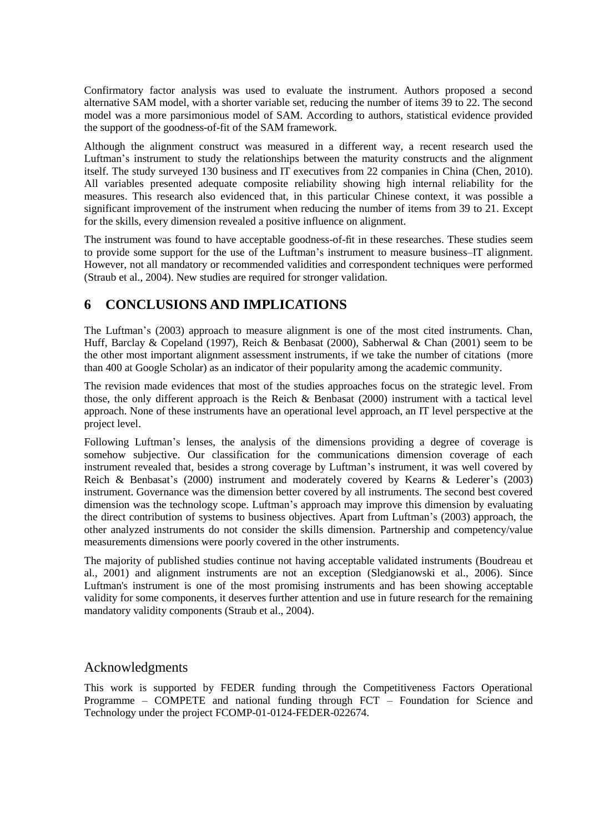Confirmatory factor analysis was used to evaluate the instrument. Authors proposed a second alternative SAM model, with a shorter variable set, reducing the number of items 39 to 22. The second model was a more parsimonious model of SAM. According to authors, statistical evidence provided the support of the goodness-of-fit of the SAM framework.

Although the alignment construct was measured in a different way, a recent research used the Luftman's instrument to study the relationships between the maturity constructs and the alignment itself. The study surveyed 130 business and IT executives from 22 companies in China (Chen, 2010). All variables presented adequate composite reliability showing high internal reliability for the measures. This research also evidenced that, in this particular Chinese context, it was possible a significant improvement of the instrument when reducing the number of items from 39 to 21. Except for the skills, every dimension revealed a positive influence on alignment.

The instrument was found to have acceptable goodness-of-fit in these researches. These studies seem to provide some support for the use of the Luftman's instrument to measure business–IT alignment. However, not all mandatory or recommended validities and correspondent techniques were performed (Straub et al., 2004). New studies are required for stronger validation.

# **6 CONCLUSIONS AND IMPLICATIONS**

The Luftman's (2003) approach to measure alignment is one of the most cited instruments. Chan, Huff, Barclay & Copeland (1997), Reich & Benbasat (2000), Sabherwal & Chan (2001) seem to be the other most important alignment assessment instruments, if we take the number of citations (more than 400 at Google Scholar) as an indicator of their popularity among the academic community.

The revision made evidences that most of the studies approaches focus on the strategic level. From those, the only different approach is the Reich & Benbasat (2000) instrument with a tactical level approach. None of these instruments have an operational level approach, an IT level perspective at the project level.

Following Luftman's lenses, the analysis of the dimensions providing a degree of coverage is somehow subjective. Our classification for the communications dimension coverage of each instrument revealed that, besides a strong coverage by Luftman's instrument, it was well covered by Reich & Benbasat's (2000) instrument and moderately covered by Kearns & Lederer's (2003) instrument. Governance was the dimension better covered by all instruments. The second best covered dimension was the technology scope. Luftman's approach may improve this dimension by evaluating the direct contribution of systems to business objectives. Apart from Luftman's (2003) approach, the other analyzed instruments do not consider the skills dimension. Partnership and competency/value measurements dimensions were poorly covered in the other instruments.

The majority of published studies continue not having acceptable validated instruments (Boudreau et al., 2001) and alignment instruments are not an exception (Sledgianowski et al., 2006). Since Luftman's instrument is one of the most promising instruments and has been showing acceptable validity for some components, it deserves further attention and use in future research for the remaining mandatory validity components (Straub et al., 2004).

## Acknowledgments

This work is supported by FEDER funding through the Competitiveness Factors Operational Programme – COMPETE and national funding through FCT – Foundation for Science and Technology under the project FCOMP-01-0124-FEDER-022674.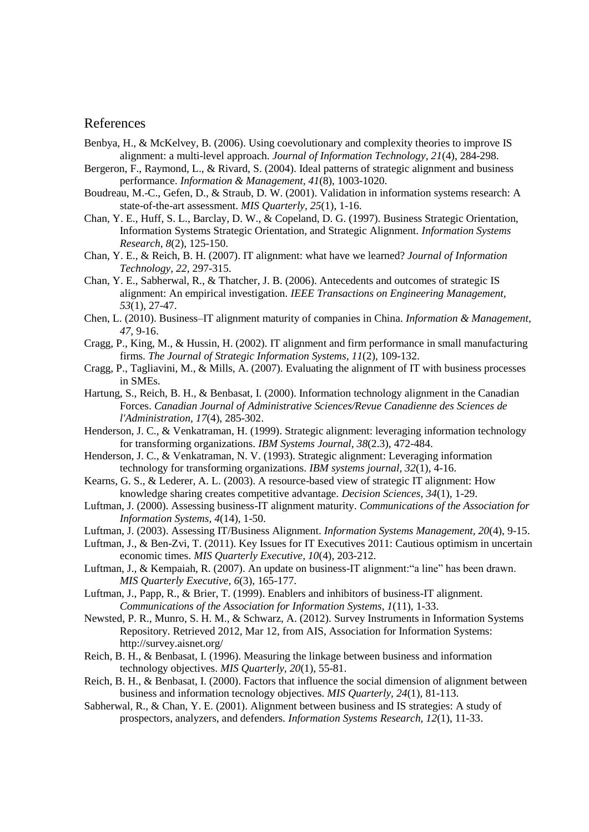## References

- Benbya, H., & McKelvey, B. (2006). Using coevolutionary and complexity theories to improve IS alignment: a multi-level approach. *Journal of Information Technology, 21*(4), 284-298.
- Bergeron, F., Raymond, L., & Rivard, S. (2004). Ideal patterns of strategic alignment and business performance. *Information & Management, 41*(8), 1003-1020.
- Boudreau, M.-C., Gefen, D., & Straub, D. W. (2001). Validation in information systems research: A state-of-the-art assessment. *MIS Quarterly, 25*(1), 1-16.
- Chan, Y. E., Huff, S. L., Barclay, D. W., & Copeland, D. G. (1997). Business Strategic Orientation, Information Systems Strategic Orientation, and Strategic Alignment. *Information Systems Research, 8*(2), 125-150.
- Chan, Y. E., & Reich, B. H. (2007). IT alignment: what have we learned? *Journal of Information Technology, 22*, 297-315.
- Chan, Y. E., Sabherwal, R., & Thatcher, J. B. (2006). Antecedents and outcomes of strategic IS alignment: An empirical investigation. *IEEE Transactions on Engineering Management, 53*(1), 27-47.
- Chen, L. (2010). Business–IT alignment maturity of companies in China. *Information & Management, 47*, 9-16.
- Cragg, P., King, M., & Hussin, H. (2002). IT alignment and firm performance in small manufacturing firms. *The Journal of Strategic Information Systems, 11*(2), 109-132.
- Cragg, P., Tagliavini, M., & Mills, A. (2007). Evaluating the alignment of IT with business processes in SMEs.
- Hartung, S., Reich, B. H., & Benbasat, I. (2000). Information technology alignment in the Canadian Forces. *Canadian Journal of Administrative Sciences/Revue Canadienne des Sciences de l'Administration, 17*(4), 285-302.
- Henderson, J. C., & Venkatraman, H. (1999). Strategic alignment: leveraging information technology for transforming organizations. *IBM Systems Journal, 38*(2.3), 472-484.
- Henderson, J. C., & Venkatraman, N. V. (1993). Strategic alignment: Leveraging information technology for transforming organizations. *IBM systems journal, 32*(1), 4-16.
- Kearns, G. S., & Lederer, A. L. (2003). A resource-based view of strategic IT alignment: How knowledge sharing creates competitive advantage. *Decision Sciences, 34*(1), 1-29.
- Luftman, J. (2000). Assessing business-IT alignment maturity. *Communications of the Association for Information Systems, 4*(14), 1-50.
- Luftman, J. (2003). Assessing IT/Business Alignment. *Information Systems Management, 20*(4), 9-15.
- Luftman, J., & Ben-Zvi, T. (2011). Key Issues for IT Executives 2011: Cautious optimism in uncertain economic times. *MIS Quarterly Executive, 10*(4), 203-212.
- Luftman, J., & Kempaiah, R. (2007). An update on business-IT alignment:"a line" has been drawn. *MIS Quarterly Executive, 6*(3), 165-177.
- Luftman, J., Papp, R., & Brier, T. (1999). Enablers and inhibitors of business-IT alignment. *Communications of the Association for Information Systems, 1*(11), 1-33.
- Newsted, P. R., Munro, S. H. M., & Schwarz, A. (2012). Survey Instruments in Information Systems Repository. Retrieved 2012, Mar 12, from AIS, Association for Information Systems: http://survey.aisnet.org/
- Reich, B. H., & Benbasat, I. (1996). Measuring the linkage between business and information technology objectives. *MIS Quarterly, 20*(1), 55-81.
- Reich, B. H., & Benbasat, I. (2000). Factors that influence the social dimension of alignment between business and information tecnology objectives. *MIS Quarterly, 24*(1), 81-113.
- Sabherwal, R., & Chan, Y. E. (2001). Alignment between business and IS strategies: A study of prospectors, analyzers, and defenders. *Information Systems Research, 12*(1), 11-33.